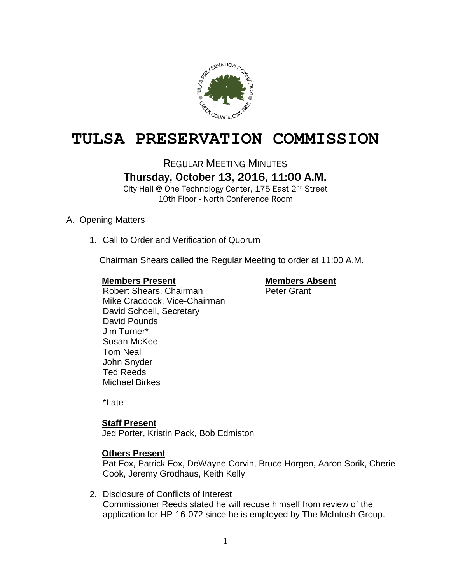

# **TULSA PRESERVATION COMMISSION**

# REGULAR MEETING MINUTES Thursday, October 13, 2016, 11:00 A.M.

City Hall @ One Technology Center, 175 East 2<sup>nd</sup> Street 10th Floor - North Conference Room

# A. Opening Matters

1. Call to Order and Verification of Quorum

Chairman Shears called the Regular Meeting to order at 11:00 A.M.

## **Members Present Members Absent**

Robert Shears, Chairman Peter Grant Mike Craddock, Vice-Chairman David Schoell, Secretary David Pounds Jim Turner\* Susan McKee Tom Neal John Snyder Ted Reeds Michael Birkes

\*Late

# **Staff Present**

Jed Porter, Kristin Pack, Bob Edmiston

# **Others Present**

Pat Fox, Patrick Fox, DeWayne Corvin, Bruce Horgen, Aaron Sprik, Cherie Cook, Jeremy Grodhaus, Keith Kelly

2. Disclosure of Conflicts of Interest Commissioner Reeds stated he will recuse himself from review of the application for HP-16-072 since he is employed by The McIntosh Group.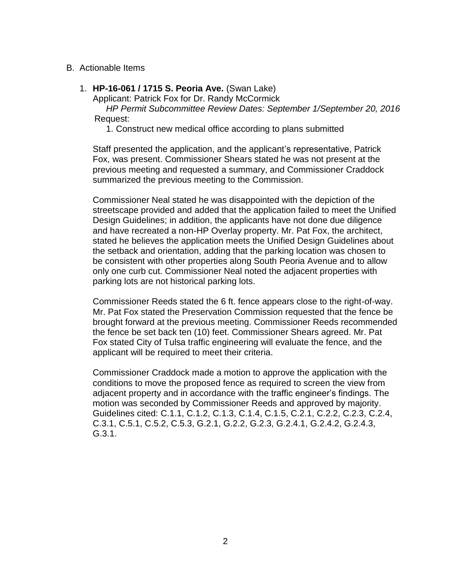## B. Actionable Items

1. **HP-16-061 / 1715 S. Peoria Ave.** (Swan Lake)

Applicant: Patrick Fox for Dr. Randy McCormick

 *HP Permit Subcommittee Review Dates: September 1/September 20, 2016* Request:

1. Construct new medical office according to plans submitted

Staff presented the application, and the applicant's representative, Patrick Fox, was present. Commissioner Shears stated he was not present at the previous meeting and requested a summary, and Commissioner Craddock summarized the previous meeting to the Commission.

Commissioner Neal stated he was disappointed with the depiction of the streetscape provided and added that the application failed to meet the Unified Design Guidelines; in addition, the applicants have not done due diligence and have recreated a non-HP Overlay property. Mr. Pat Fox, the architect, stated he believes the application meets the Unified Design Guidelines about the setback and orientation, adding that the parking location was chosen to be consistent with other properties along South Peoria Avenue and to allow only one curb cut. Commissioner Neal noted the adjacent properties with parking lots are not historical parking lots.

Commissioner Reeds stated the 6 ft. fence appears close to the right-of-way. Mr. Pat Fox stated the Preservation Commission requested that the fence be brought forward at the previous meeting. Commissioner Reeds recommended the fence be set back ten (10) feet. Commissioner Shears agreed. Mr. Pat Fox stated City of Tulsa traffic engineering will evaluate the fence, and the applicant will be required to meet their criteria.

Commissioner Craddock made a motion to approve the application with the conditions to move the proposed fence as required to screen the view from adjacent property and in accordance with the traffic engineer's findings. The motion was seconded by Commissioner Reeds and approved by majority. Guidelines cited: C.1.1, C.1.2, C.1.3, C.1.4, C.1.5, C.2.1, C.2.2, C.2.3, C.2.4, C.3.1, C.5.1, C.5.2, C.5.3, G.2.1, G.2.2, G.2.3, G.2.4.1, G.2.4.2, G.2.4.3, G.3.1.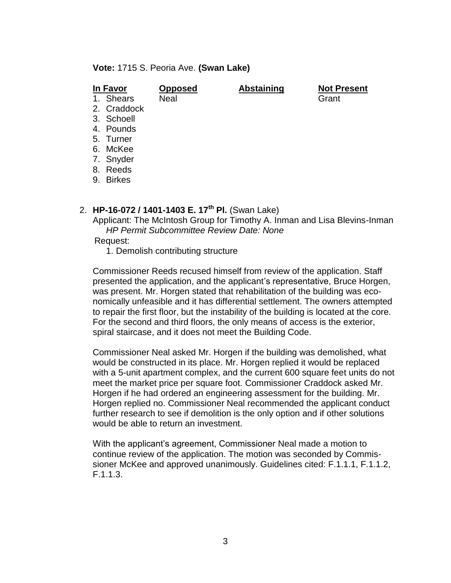**Vote:** 1715 S. Peoria Ave. **(Swan Lake)**

| In Favor |               | <b>Opposed</b> | <b>Abstaining</b> | <b>Not Present</b> |
|----------|---------------|----------------|-------------------|--------------------|
|          | 1. Shears     | <b>Neal</b>    |                   | Grant              |
|          | 2. Craddock   |                |                   |                    |
|          | 3. Schoell    |                |                   |                    |
|          | 4. Pounds     |                |                   |                    |
|          | 5. Turner     |                |                   |                    |
|          | 6. McKee      |                |                   |                    |
|          | 7. Snyder     |                |                   |                    |
|          | 8. Reeds      |                |                   |                    |
| 9.       | <b>Birkes</b> |                |                   |                    |
|          |               |                |                   |                    |

# 2. **HP-16-072 / 1401-1403 E. 17th Pl.** (Swan Lake)

Applicant: The McIntosh Group for Timothy A. Inman and Lisa Blevins-Inman *HP Permit Subcommittee Review Date: None*

### Request:

1. Demolish contributing structure

Commissioner Reeds recused himself from review of the application. Staff presented the application, and the applicant's representative, Bruce Horgen, was present. Mr. Horgen stated that rehabilitation of the building was economically unfeasible and it has differential settlement. The owners attempted to repair the first floor, but the instability of the building is located at the core. For the second and third floors, the only means of access is the exterior, spiral staircase, and it does not meet the Building Code.

Commissioner Neal asked Mr. Horgen if the building was demolished, what would be constructed in its place. Mr. Horgen replied it would be replaced with a 5-unit apartment complex, and the current 600 square feet units do not meet the market price per square foot. Commissioner Craddock asked Mr. Horgen if he had ordered an engineering assessment for the building. Mr. Horgen replied no. Commissioner Neal recommended the applicant conduct further research to see if demolition is the only option and if other solutions would be able to return an investment.

With the applicant's agreement, Commissioner Neal made a motion to continue review of the application. The motion was seconded by Commissioner McKee and approved unanimously. Guidelines cited: F.1.1.1, F.1.1.2, F.1.1.3.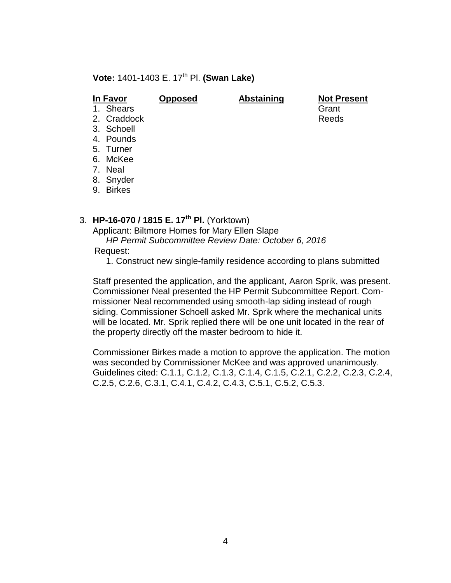# **Vote: 1401-1403 E. 17<sup>th</sup> Pl. <b>(Swan Lake)**

**In Favor Opposed Abstaining Not Present** 1. Shears Grant 2. Craddock Reeds

- 
- 
- 3. Schoell
- 4. Pounds
- 5. Turner
- 6. McKee
- 7. Neal
- 8. Snyder
- 9. Birkes

# 3. **HP-16-070 / 1815 E. 17th Pl.** (Yorktown)

Applicant: Biltmore Homes for Mary Ellen Slape

*HP Permit Subcommittee Review Date: October 6, 2016*

- Request:
	- 1. Construct new single-family residence according to plans submitted

Staff presented the application, and the applicant, Aaron Sprik, was present. Commissioner Neal presented the HP Permit Subcommittee Report. Commissioner Neal recommended using smooth-lap siding instead of rough siding. Commissioner Schoell asked Mr. Sprik where the mechanical units will be located. Mr. Sprik replied there will be one unit located in the rear of the property directly off the master bedroom to hide it.

Commissioner Birkes made a motion to approve the application. The motion was seconded by Commissioner McKee and was approved unanimously. Guidelines cited: C.1.1, C.1.2, C.1.3, C.1.4, C.1.5, C.2.1, C.2.2, C.2.3, C.2.4, C.2.5, C.2.6, C.3.1, C.4.1, C.4.2, C.4.3, C.5.1, C.5.2, C.5.3.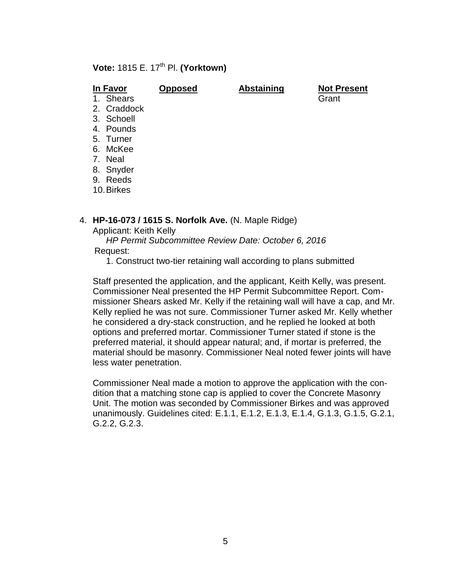# **Vote: 1815 E. 17<sup>th</sup> Pl. <b>(Yorktown)**

| In Favor |             | <b>Opposed</b> | <b>Abstaining</b> | <b>Not Present</b> |  |
|----------|-------------|----------------|-------------------|--------------------|--|
|          | 1. Shears   |                |                   | Grant              |  |
|          | 2. Craddock |                |                   |                    |  |
|          | 3. Schoell  |                |                   |                    |  |
|          | 4. Pounds   |                |                   |                    |  |
|          | 5. Turner   |                |                   |                    |  |
|          | 6. McKee    |                |                   |                    |  |
|          | 7. Neal     |                |                   |                    |  |
|          | 8. Snyder   |                |                   |                    |  |

- 9. Reeds
- 10.Birkes

# 4. **HP-16-073 / 1615 S. Norfolk Ave.** (N. Maple Ridge)

Applicant: Keith Kelly

 *HP Permit Subcommittee Review Date: October 6, 2016* Request:

1. Construct two-tier retaining wall according to plans submitted

Staff presented the application, and the applicant, Keith Kelly, was present. Commissioner Neal presented the HP Permit Subcommittee Report. Commissioner Shears asked Mr. Kelly if the retaining wall will have a cap, and Mr. Kelly replied he was not sure. Commissioner Turner asked Mr. Kelly whether he considered a dry-stack construction, and he replied he looked at both options and preferred mortar. Commissioner Turner stated if stone is the preferred material, it should appear natural; and, if mortar is preferred, the material should be masonry. Commissioner Neal noted fewer joints will have less water penetration.

Commissioner Neal made a motion to approve the application with the condition that a matching stone cap is applied to cover the Concrete Masonry Unit. The motion was seconded by Commissioner Birkes and was approved unanimously. Guidelines cited: E.1.1, E.1.2, E.1.3, E.1.4, G.1.3, G.1.5, G.2.1, G.2.2, G.2.3.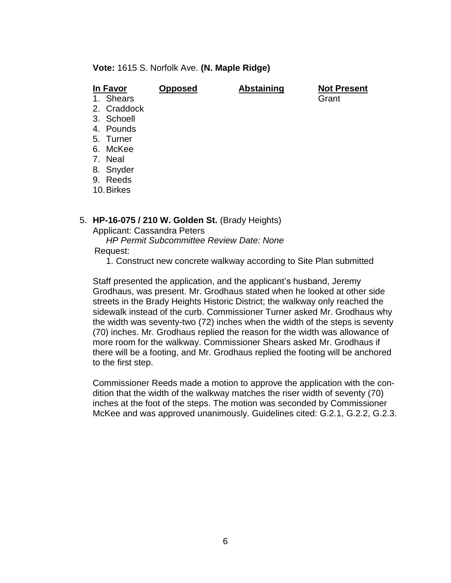**Vote:** 1615 S. Norfolk Ave. **(N. Maple Ridge)**

| In Favor            | <b>Opposed</b> | <b>Abstaining</b> | <b>Not Present</b> |
|---------------------|----------------|-------------------|--------------------|
| <b>Shears</b><br>1. |                |                   | Grant              |
| 2. Craddock         |                |                   |                    |
| 3. Schoell          |                |                   |                    |
| 4. Pounds           |                |                   |                    |
| 5. Turner           |                |                   |                    |
| 6. McKee            |                |                   |                    |
| 7. Neal             |                |                   |                    |
| 8. Snyder           |                |                   |                    |
| Reeds<br>9.         |                |                   |                    |
| 10. Birkes          |                |                   |                    |
|                     |                |                   |                    |

### 5. **HP-16-075 / 210 W. Golden St.** (Brady Heights)

Applicant: Cassandra Peters

*HP Permit Subcommittee Review Date: None*

Request:

1. Construct new concrete walkway according to Site Plan submitted

Staff presented the application, and the applicant's husband, Jeremy Grodhaus, was present. Mr. Grodhaus stated when he looked at other side streets in the Brady Heights Historic District; the walkway only reached the sidewalk instead of the curb. Commissioner Turner asked Mr. Grodhaus why the width was seventy-two (72) inches when the width of the steps is seventy (70) inches. Mr. Grodhaus replied the reason for the width was allowance of more room for the walkway. Commissioner Shears asked Mr. Grodhaus if there will be a footing, and Mr. Grodhaus replied the footing will be anchored to the first step.

Commissioner Reeds made a motion to approve the application with the condition that the width of the walkway matches the riser width of seventy (70) inches at the foot of the steps. The motion was seconded by Commissioner McKee and was approved unanimously. Guidelines cited: G.2.1, G.2.2, G.2.3.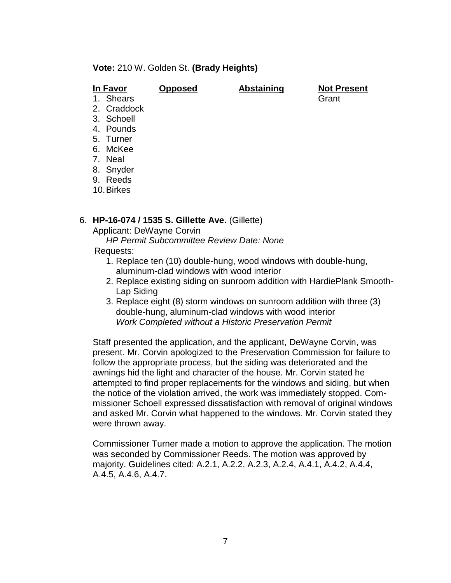## **Vote:** 210 W. Golden St. **(Brady Heights)**

| Grant |
|-------|
|       |
|       |
|       |
|       |
|       |
|       |
|       |
|       |

8. Snyder

9. Reeds

10.Birkes

### 6. **HP-16-074 / 1535 S. Gillette Ave.** (Gillette)

Applicant: DeWayne Corvin

*HP Permit Subcommittee Review Date: None*

- Requests:
	- 1. Replace ten (10) double-hung, wood windows with double-hung, aluminum-clad windows with wood interior
	- 2. Replace existing siding on sunroom addition with HardiePlank Smooth-Lap Siding
	- 3. Replace eight (8) storm windows on sunroom addition with three (3) double-hung, aluminum-clad windows with wood interior *Work Completed without a Historic Preservation Permit*

Staff presented the application, and the applicant, DeWayne Corvin, was present. Mr. Corvin apologized to the Preservation Commission for failure to follow the appropriate process, but the siding was deteriorated and the awnings hid the light and character of the house. Mr. Corvin stated he attempted to find proper replacements for the windows and siding, but when the notice of the violation arrived, the work was immediately stopped. Commissioner Schoell expressed dissatisfaction with removal of original windows and asked Mr. Corvin what happened to the windows. Mr. Corvin stated they were thrown away.

Commissioner Turner made a motion to approve the application. The motion was seconded by Commissioner Reeds. The motion was approved by majority. Guidelines cited: A.2.1, A.2.2, A.2.3, A.2.4, A.4.1, A.4.2, A.4.4, A.4.5, A.4.6, A.4.7.